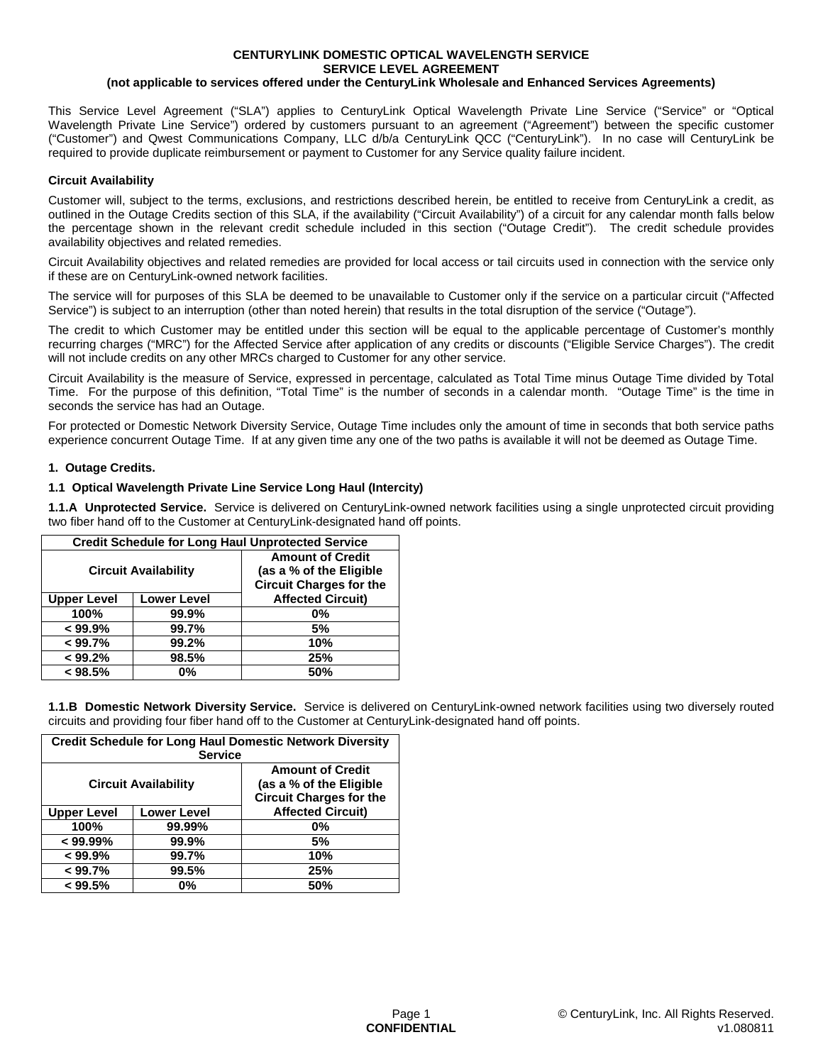#### **CENTURYLINK DOMESTIC OPTICAL WAVELENGTH SERVICE SERVICE LEVEL AGREEMENT (not applicable to services offered under the CenturyLink Wholesale and Enhanced Services Agreements)**

This Service Level Agreement ("SLA") applies to CenturyLink Optical Wavelength Private Line Service ("Service" or "Optical Wavelength Private Line Service") ordered by customers pursuant to an agreement ("Agreement") between the specific customer ("Customer") and Qwest Communications Company, LLC d/b/a CenturyLink QCC ("CenturyLink"). In no case will CenturyLink be required to provide duplicate reimbursement or payment to Customer for any Service quality failure incident.

# **Circuit Availability**

Customer will, subject to the terms, exclusions, and restrictions described herein, be entitled to receive from CenturyLink a credit, as outlined in the Outage Credits section of this SLA, if the availability ("Circuit Availability") of a circuit for any calendar month falls below the percentage shown in the relevant credit schedule included in this section ("Outage Credit"). The credit schedule provides availability objectives and related remedies.

Circuit Availability objectives and related remedies are provided for local access or tail circuits used in connection with the service only if these are on CenturyLink-owned network facilities.

The service will for purposes of this SLA be deemed to be unavailable to Customer only if the service on a particular circuit ("Affected Service") is subject to an interruption (other than noted herein) that results in the total disruption of the service ("Outage").

The credit to which Customer may be entitled under this section will be equal to the applicable percentage of Customer's monthly recurring charges ("MRC") for the Affected Service after application of any credits or discounts ("Eligible Service Charges"). The credit will not include credits on any other MRCs charged to Customer for any other service.

Circuit Availability is the measure of Service, expressed in percentage, calculated as Total Time minus Outage Time divided by Total Time. For the purpose of this definition, "Total Time" is the number of seconds in a calendar month. "Outage Time" is the time in seconds the service has had an Outage.

For protected or Domestic Network Diversity Service, Outage Time includes only the amount of time in seconds that both service paths experience concurrent Outage Time. If at any given time any one of the two paths is available it will not be deemed as Outage Time.

# **1. Outage Credits.**

# **1.1 Optical Wavelength Private Line Service Long Haul (Intercity)**

**1.1.A Unprotected Service.** Service is delivered on CenturyLink-owned network facilities using a single unprotected circuit providing two fiber hand off to the Customer at CenturyLink-designated hand off points.

| <b>Credit Schedule for Long Haul Unprotected Service</b> |                    |                                                                                      |
|----------------------------------------------------------|--------------------|--------------------------------------------------------------------------------------|
| <b>Circuit Availability</b>                              |                    | <b>Amount of Credit</b><br>(as a % of the Eligible<br><b>Circuit Charges for the</b> |
| <b>Upper Level</b>                                       | <b>Lower Level</b> | <b>Affected Circuit)</b>                                                             |
| 100%                                                     | 99.9%              | 0%                                                                                   |
| $< 99.9\%$                                               | 99.7%              | 5%                                                                                   |
| < 99.7%                                                  | 99.2%              | 10%                                                                                  |
| < 99.2%                                                  | 98.5%              | 25%                                                                                  |
| < 98.5%                                                  | $0\%$              | 50%                                                                                  |

**1.1.B Domestic Network Diversity Service.** Service is delivered on CenturyLink-owned network facilities using two diversely routed circuits and providing four fiber hand off to the Customer at CenturyLink-designated hand off points.

| <b>Credit Schedule for Long Haul Domestic Network Diversity</b><br><b>Service</b> |                    |                                                                                      |
|-----------------------------------------------------------------------------------|--------------------|--------------------------------------------------------------------------------------|
| <b>Circuit Availability</b>                                                       |                    | <b>Amount of Credit</b><br>(as a % of the Eligible<br><b>Circuit Charges for the</b> |
| <b>Upper Level</b>                                                                | <b>Lower Level</b> | <b>Affected Circuit)</b>                                                             |
| 100%                                                                              | 99.99%             | 0%                                                                                   |
| $< 99.99\%$                                                                       | 99.9%              | 5%                                                                                   |
| < 99.9%                                                                           | 99.7%              | 10%                                                                                  |
| < 99.7%                                                                           | 99.5%              | 25%                                                                                  |
| < 99.5%                                                                           | 0%                 | 50%                                                                                  |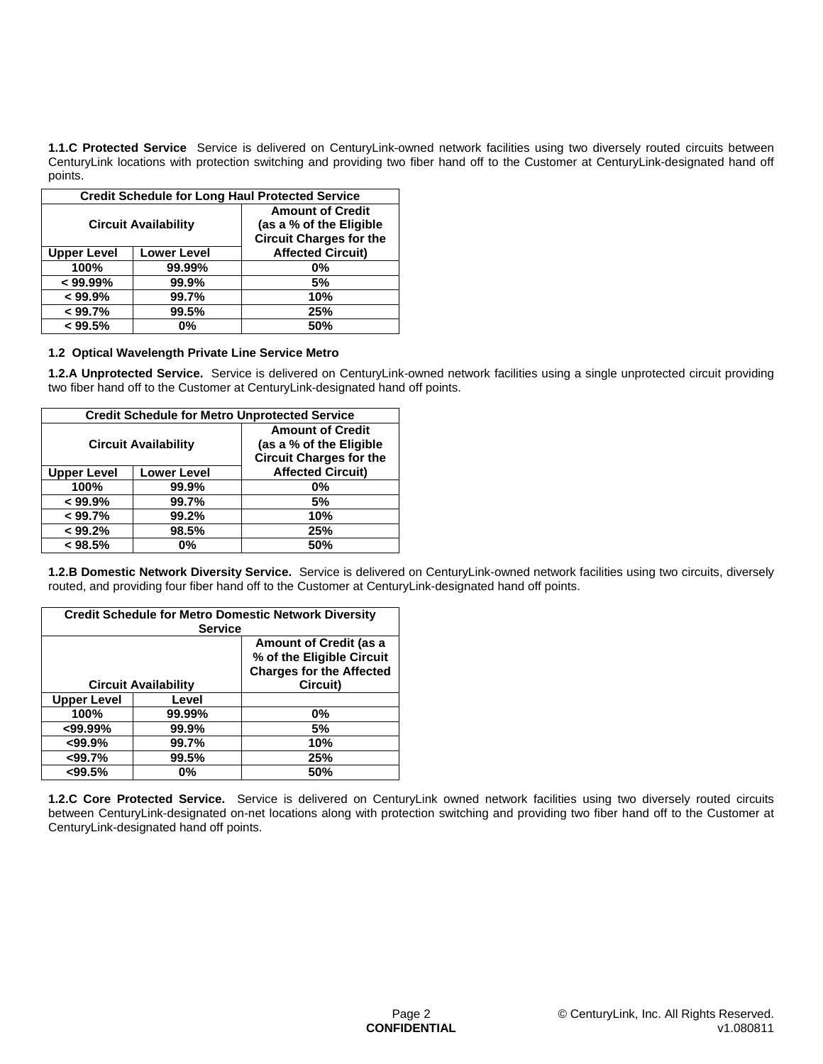**1.1.C Protected Service** Service is delivered on CenturyLink-owned network facilities using two diversely routed circuits between CenturyLink locations with protection switching and providing two fiber hand off to the Customer at CenturyLink-designated hand off points.

| <b>Credit Schedule for Long Haul Protected Service</b> |                    |                                |
|--------------------------------------------------------|--------------------|--------------------------------|
| <b>Circuit Availability</b>                            |                    | <b>Amount of Credit</b>        |
|                                                        |                    | (as a % of the Eligible        |
|                                                        |                    | <b>Circuit Charges for the</b> |
| <b>Upper Level</b>                                     | <b>Lower Level</b> | <b>Affected Circuit)</b>       |
| 100%                                                   | 99.99%             | 0%                             |
| $< 99.99\%$                                            | 99.9%              | 5%                             |
| < 99.9%                                                | 99.7%              | 10%                            |
| < 99.7%                                                | 99.5%              | 25%                            |
| < 99.5%                                                | 0%                 | 50%                            |

### **1.2 Optical Wavelength Private Line Service Metro**

**1.2.A Unprotected Service.** Service is delivered on CenturyLink-owned network facilities using a single unprotected circuit providing two fiber hand off to the Customer at CenturyLink-designated hand off points.

| <b>Credit Schedule for Metro Unprotected Service</b> |                    |                                                                                      |
|------------------------------------------------------|--------------------|--------------------------------------------------------------------------------------|
| <b>Circuit Availability</b>                          |                    | <b>Amount of Credit</b><br>(as a % of the Eligible<br><b>Circuit Charges for the</b> |
| <b>Upper Level</b>                                   | <b>Lower Level</b> | <b>Affected Circuit)</b>                                                             |
| 100%                                                 | 99.9%              | 0%                                                                                   |
| < 99.9%                                              | 99.7%              | 5%                                                                                   |
| < 99.7%                                              | 99.2%              | 10%                                                                                  |
| < 99.2%                                              | 98.5%              | 25%                                                                                  |
| < 98.5%                                              | 0%                 | 50%                                                                                  |

**1.2.B Domestic Network Diversity Service.** Service is delivered on CenturyLink-owned network facilities using two circuits, diversely routed, and providing four fiber hand off to the Customer at CenturyLink-designated hand off points.

| <b>Credit Schedule for Metro Domestic Network Diversity</b><br><b>Service</b> |        |                                                              |
|-------------------------------------------------------------------------------|--------|--------------------------------------------------------------|
|                                                                               |        | <b>Amount of Credit (as a</b>                                |
|                                                                               |        | % of the Eligible Circuit<br><b>Charges for the Affected</b> |
| <b>Circuit Availability</b>                                                   |        | Circuit)                                                     |
| <b>Upper Level</b>                                                            | Level  |                                                              |
| 100%                                                                          | 99.99% | 0%                                                           |
| $<$ 99.99%                                                                    | 99.9%  | 5%                                                           |
| $<$ 99.9%                                                                     | 99.7%  | 10%                                                          |
| < 99.7%                                                                       | 99.5%  | 25%                                                          |
| $<$ 99.5%                                                                     | 0%     | 50%                                                          |

**1.2.C Core Protected Service.** Service is delivered on CenturyLink owned network facilities using two diversely routed circuits between CenturyLink-designated on-net locations along with protection switching and providing two fiber hand off to the Customer at CenturyLink-designated hand off points.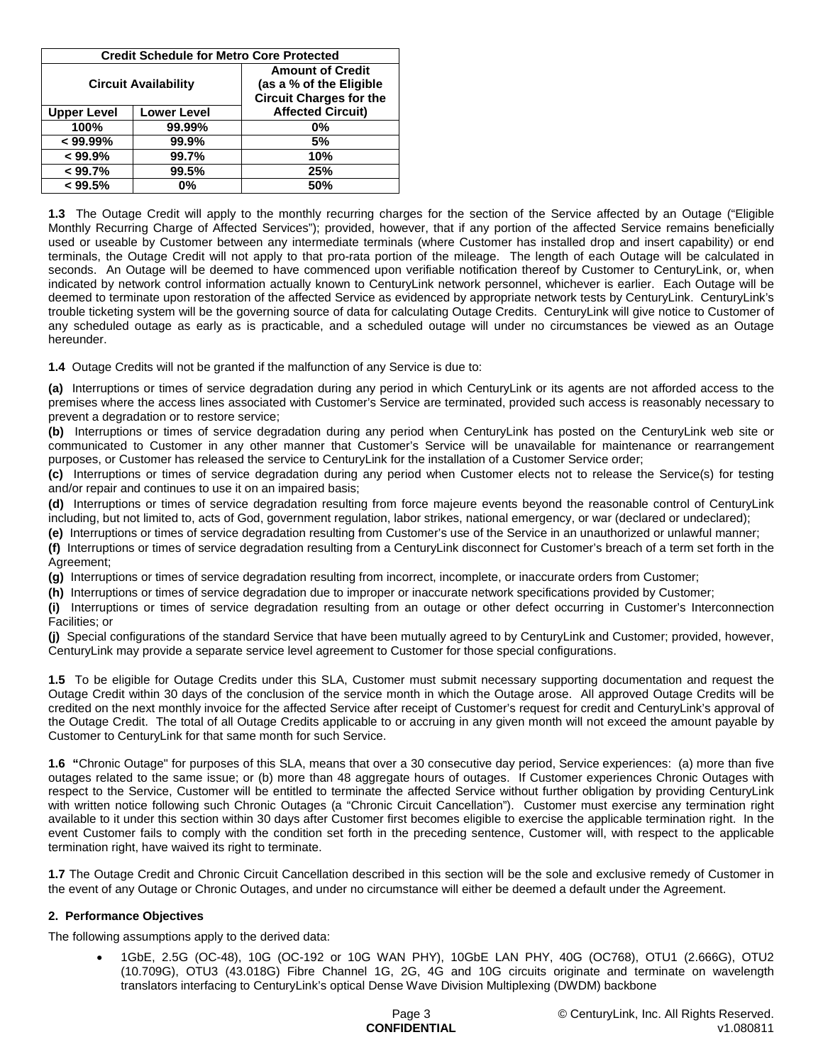| <b>Credit Schedule for Metro Core Protected</b> |                    |                                                                                      |
|-------------------------------------------------|--------------------|--------------------------------------------------------------------------------------|
| <b>Circuit Availability</b>                     |                    | <b>Amount of Credit</b><br>(as a % of the Eligible<br><b>Circuit Charges for the</b> |
| <b>Upper Level</b>                              | <b>Lower Level</b> | <b>Affected Circuit)</b>                                                             |
| 100%                                            | 99.99%             | 0%                                                                                   |
| $< 99.99\%$                                     | 99.9%              | 5%                                                                                   |
| $< 99.9\%$                                      | 99.7%              | 10%                                                                                  |
| < 99.7%                                         | 99.5%              | 25%                                                                                  |
| < 99.5%                                         | 0%                 | 50%                                                                                  |

**1.3** The Outage Credit will apply to the monthly recurring charges for the section of the Service affected by an Outage ("Eligible Monthly Recurring Charge of Affected Services"); provided, however, that if any portion of the affected Service remains beneficially used or useable by Customer between any intermediate terminals (where Customer has installed drop and insert capability) or end terminals, the Outage Credit will not apply to that pro-rata portion of the mileage. The length of each Outage will be calculated in seconds. An Outage will be deemed to have commenced upon verifiable notification thereof by Customer to CenturyLink, or, when indicated by network control information actually known to CenturyLink network personnel, whichever is earlier. Each Outage will be deemed to terminate upon restoration of the affected Service as evidenced by appropriate network tests by CenturyLink. CenturyLink's trouble ticketing system will be the governing source of data for calculating Outage Credits. CenturyLink will give notice to Customer of any scheduled outage as early as is practicable, and a scheduled outage will under no circumstances be viewed as an Outage hereunder.

**1.4** Outage Credits will not be granted if the malfunction of any Service is due to:

**(a)** Interruptions or times of service degradation during any period in which CenturyLink or its agents are not afforded access to the premises where the access lines associated with Customer's Service are terminated, provided such access is reasonably necessary to prevent a degradation or to restore service;

**(b)** Interruptions or times of service degradation during any period when CenturyLink has posted on the CenturyLink web site or communicated to Customer in any other manner that Customer's Service will be unavailable for maintenance or rearrangement purposes, or Customer has released the service to CenturyLink for the installation of a Customer Service order;

**(c)** Interruptions or times of service degradation during any period when Customer elects not to release the Service(s) for testing and/or repair and continues to use it on an impaired basis;

**(d)** Interruptions or times of service degradation resulting from force majeure events beyond the reasonable control of CenturyLink including, but not limited to, acts of God, government regulation, labor strikes, national emergency, or war (declared or undeclared);

**(e)** Interruptions or times of service degradation resulting from Customer's use of the Service in an unauthorized or unlawful manner;

**(f)** Interruptions or times of service degradation resulting from a CenturyLink disconnect for Customer's breach of a term set forth in the Agreement;

**(g)** Interruptions or times of service degradation resulting from incorrect, incomplete, or inaccurate orders from Customer;

**(h)** Interruptions or times of service degradation due to improper or inaccurate network specifications provided by Customer;

**(i)** Interruptions or times of service degradation resulting from an outage or other defect occurring in Customer's Interconnection Facilities; or

**(j)** Special configurations of the standard Service that have been mutually agreed to by CenturyLink and Customer; provided, however, CenturyLink may provide a separate service level agreement to Customer for those special configurations.

**1.5** To be eligible for Outage Credits under this SLA, Customer must submit necessary supporting documentation and request the Outage Credit within 30 days of the conclusion of the service month in which the Outage arose. All approved Outage Credits will be credited on the next monthly invoice for the affected Service after receipt of Customer's request for credit and CenturyLink's approval of the Outage Credit. The total of all Outage Credits applicable to or accruing in any given month will not exceed the amount payable by Customer to CenturyLink for that same month for such Service.

**1.6 "**Chronic Outage" for purposes of this SLA, means that over a 30 consecutive day period, Service experiences: (a) more than five outages related to the same issue; or (b) more than 48 aggregate hours of outages. If Customer experiences Chronic Outages with respect to the Service, Customer will be entitled to terminate the affected Service without further obligation by providing CenturyLink with written notice following such Chronic Outages (a "Chronic Circuit Cancellation"). Customer must exercise any termination right available to it under this section within 30 days after Customer first becomes eligible to exercise the applicable termination right. In the event Customer fails to comply with the condition set forth in the preceding sentence, Customer will, with respect to the applicable termination right, have waived its right to terminate.

**1.7** The Outage Credit and Chronic Circuit Cancellation described in this section will be the sole and exclusive remedy of Customer in the event of any Outage or Chronic Outages, and under no circumstance will either be deemed a default under the Agreement.

### **2. Performance Objectives**

The following assumptions apply to the derived data:

 1GbE, 2.5G (OC-48), 10G (OC-192 or 10G WAN PHY), 10GbE LAN PHY, 40G (OC768), OTU1 (2.666G), OTU2 (10.709G), OTU3 (43.018G) Fibre Channel 1G, 2G, 4G and 10G circuits originate and terminate on wavelength translators interfacing to CenturyLink's optical Dense Wave Division Multiplexing (DWDM) backbone